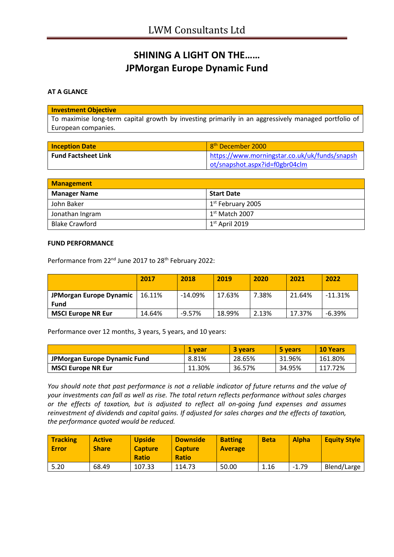# **SHINING A LIGHT ON THE…… JPMorgan Europe Dynamic Fund**

## **AT A GLANCE**

### **Investment Objective**

To maximise long-term capital growth by investing primarily in an aggressively managed portfolio of European companies.

| <b>Inception Date</b>      | 8 <sup>th</sup> December 2000                 |
|----------------------------|-----------------------------------------------|
| <b>Fund Factsheet Link</b> | https://www.morningstar.co.uk/uk/funds/snapsh |
|                            | ot/snapshot.aspx?id=f0gbr04clm                |

| <b>Management</b>     |                     |
|-----------------------|---------------------|
| <b>Manager Name</b>   | <b>Start Date</b>   |
| John Baker            | $1st$ February 2005 |
| Jonathan Ingram       | $1st$ Match 2007    |
| <b>Blake Crawford</b> | $1st$ April 2019    |

#### **FUND PERFORMANCE**

Performance from 22<sup>nd</sup> June 2017 to 28<sup>th</sup> February 2022:

|                                 | 2017   | 2018      | 2019   | 2020  | 2021   | 2022      |
|---------------------------------|--------|-----------|--------|-------|--------|-----------|
| JPMorgan Europe Dynamic<br>Fund | 16.11% | $-14.09%$ | 17.63% | 7.38% | 21.64% | $-11.31%$ |
| <b>MSCI Europe NR Eur</b>       | 14.64% | $-9.57\%$ | 18.99% | 2.13% | 17.37% | $-6.39%$  |

Performance over 12 months, 3 years, 5 years, and 10 years:

|                              | 1 vear | 3 vears | 5 years | <b>10 Years</b> |
|------------------------------|--------|---------|---------|-----------------|
| JPMorgan Europe Dynamic Fund | 8.81%  | 28.65%  | 31.96%  | 161.80%         |
| <b>MSCI Europe NR Eur</b>    | 11.30% | 36.57%  | 34.95%  | 117.72%         |

*You should note that past performance is not a reliable indicator of future returns and the value of your investments can fall as well as rise. The total return reflects performance without sales charges or the effects of taxation, but is adjusted to reflect all on-going fund expenses and assumes reinvestment of dividends and capital gains. If adjusted for sales charges and the effects of taxation, the performance quoted would be reduced.*

| <b>Tracking</b><br>Error | <b>Active</b><br><b>Share</b> | <b>Upside</b><br><b>Capture</b><br><b>Ratio</b> | <b>Downside</b><br><b>Capture</b><br><b>Ratio</b> | <b>Batting</b><br><b>Average</b> | <b>Beta</b> | <b>Alpha</b> | <b>Equity Style</b> |
|--------------------------|-------------------------------|-------------------------------------------------|---------------------------------------------------|----------------------------------|-------------|--------------|---------------------|
| 5.20                     | 68.49                         | 107.33                                          | 114.73                                            | 50.00                            | 1.16        | $-1.79$      | Blend/Large         |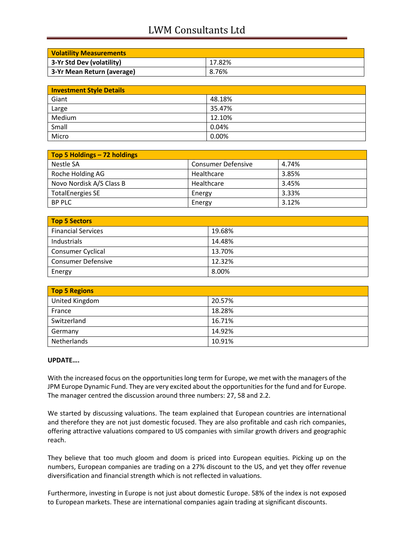## LWM Consultants Ltd

| <b>Volatility Measurements</b> |        |
|--------------------------------|--------|
| 3-Yr Std Dev (volatility)      | 17.82% |
| 3-Yr Mean Return (average)     | 8.76%  |

| <b>Investment Style Details</b> |        |
|---------------------------------|--------|
| Giant                           | 48.18% |
| Large                           | 35.47% |
| Medium                          | 12.10% |
| Small                           | 0.04%  |
| Micro                           | 0.00%  |

| Top 5 Holdings - 72 holdings |                           |       |
|------------------------------|---------------------------|-------|
| Nestle SA                    | <b>Consumer Defensive</b> | 4.74% |
| Roche Holding AG             | Healthcare                | 3.85% |
| Novo Nordisk A/S Class B     | Healthcare                | 3.45% |
| <b>TotalEnergies SE</b>      | Energy                    | 3.33% |
| <b>BP PLC</b>                | Energy                    | 3.12% |

| Top 5 Sectors             |        |
|---------------------------|--------|
| <b>Financial Services</b> | 19.68% |
| Industrials               | 14.48% |
| Consumer Cyclical         | 13.70% |
| <b>Consumer Defensive</b> | 12.32% |
| Energy                    | 8.00%  |

| <b>Top 5 Regions</b> |        |  |
|----------------------|--------|--|
| United Kingdom       | 20.57% |  |
| France               | 18.28% |  |
| Switzerland          | 16.71% |  |
| Germany              | 14.92% |  |
| Netherlands          | 10.91% |  |

## **UPDATE….**

With the increased focus on the opportunities long term for Europe, we met with the managers of the JPM Europe Dynamic Fund. They are very excited about the opportunities for the fund and for Europe. The manager centred the discussion around three numbers: 27, 58 and 2.2.

We started by discussing valuations. The team explained that European countries are international and therefore they are not just domestic focused. They are also profitable and cash rich companies, offering attractive valuations compared to US companies with similar growth drivers and geographic reach.

They believe that too much gloom and doom is priced into European equities. Picking up on the numbers, European companies are trading on a 27% discount to the US, and yet they offer revenue diversification and financial strength which is not reflected in valuations.

Furthermore, investing in Europe is not just about domestic Europe. 58% of the index is not exposed to European markets. These are international companies again trading at significant discounts.